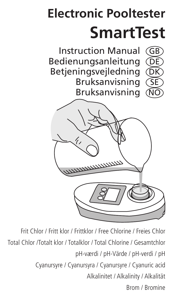# **Electronic Pooltester SmartTest**

Instruction Manual GB Bedienungsanleitung (DE Betieningsveiledning Bruksanvisning Bruksanvisning



Frit Chlor / Fritt klor / Frittklor / Free Chlorine / Freies Chlor Total Chlor /Totalt klor / Totalklor / Total Chlorine / Gesamtchlor pH-værdi / pH-Värde / pH-verdi / pH Cyanursyre / Cyanursyra / Cyanursyre / Cyanuric acid Alkalinitet / Alkalinity / Alkalität Brom / Bromine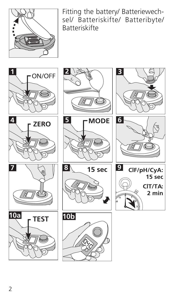

Fitting the battery/ Batteriewechsel/ Batteriskifte/ Batteribyte/ Batteriskifte









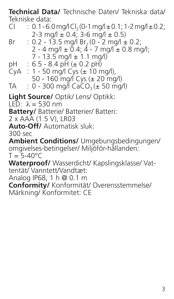**Technical Data/** Technische Daten/ Tekniska data/ Tekniske data:<br>Cl 01-61

- :  $0.1 6.0$  mg/l Cl<sub>2</sub> (0-1 mg/l  $\pm$  0.1; 1-2 mg/l  $\pm$  0.2;  $2-3$  mg/l  $\pm$  0.4;  $3-6$  mg/l  $\pm$  0.5)<br>Br  $2-135$  mg/l Br  $(0-2$  mg/l  $\pm$
- $\frac{1}{2}$  0.2 13.5 mg/l Br<sub>2</sub> (0 2 mg/l  $\pm$  0.2;  $2 - 4$  mg/l  $\pm$  0.4;  $4 - 7$  mg/l  $\pm$  0.8 mg/l; 7 - 13.5 mg/l ± 1.1 mg/l)<br>pH : 6.5 - 8.4 pH (± 0.2 pH)
- 
- pH : 6.5 8.4 pH (± 0.2 pH) CyA : 1 50 mg/l Cys (± 10 mg/l),  $50 - 160$  mg/l Cys (± 20 mg/l)<br>TA 0 - 300 mg/l CaCO (+ 50 mg/
- $: 0 300$  mg/l CaCO<sub>3</sub> ( $\pm 50$  mg/l)

**Light Source/** Optik/ Lens/ Optikk:

LED: λ = 530 nm

**Battery/** Batterie/ Batterier/ Batteri:

2 x AAA (1.5 V), LR03

**Auto-Off/** Automatisk sluk:

300 sec

**Ambient Conditions/** Umgebungsbedingungen/ omgivelses-betingelser/ Miljöför-hållanden:  $T = 5 - 40^{\circ}$ C

**Waterproof/** Wasserdicht/ Kapslingsklasse/ Vattentät/ Vanntett/Vandtæt:

Analog IP68, 1 h @ 0.1 m

**Conformity/** Konformität/ Overensstemmelse/ Märkning/ Konformitet: CE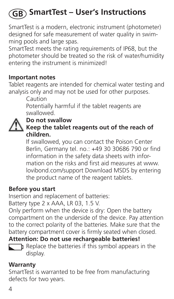# **SmartTest – User's Instructions GB**

SmartTest is a modern, electronic instrument (photometer) designed for safe measurement of water quality in swimming pools and large spas.

SmartTest meets the rating requirements of IP68, but the photometer should be treated so the risk of water/humidity entering the instrument is minimized!

#### **Important notes**

Tablet reagents are intended for chemical water testing and analysis only and may not be used for other purposes.

Caution

Potentially harmful if the tablet reagents are swallowed.



#### **Keep the tablet reagents out of the reach of children.**

If swallowed, you can contact the Poison Center Berlin, Germany tel. no.: +49 30 30686 790 or find information in the safety data sheets with information on the risks and first aid measures at www. lovibond.com/support Download MSDS by entering the product name of the reagent tablets.

#### **Before you start**

Insertion and replacement of batteries:

Battery type 2 x AAA, LR 03, 1.5 V.

Only perform when the device is dry: Open the battery compartment on the underside of the device. Pay attention to the correct polarity of the batteries. Make sure that the battery compartment cover is firmly seated when closed.

**Attention: Do not use rechargeable batteries!**



 $\Box$  Replace the batteries if this symbol appears in the display.

#### **Warranty**

SmartTest is warranted to be free from manufacturing defects for two years.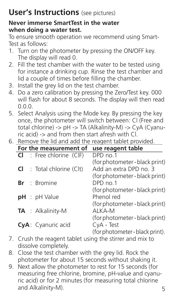# **User's Instructions** (see pictures)

#### **Never immerse SmartTest in the water when doing a water test.**

To ensure smooth operation we recommend using Smart-Test as follows:

- 1. Turn on the photometer by pressing the ON/OFF key. The display will read 0.
- 2. Fill the test chamber with the water to be tested using for instance a drinking cup. Rinse the test chamber and lid a couple of times before filling the chamber.
- 3. Install the grey lid on the test chamber.
- 4. Do a zero calibration by pressing the Zero/Test key. 000 will flash for about 8 seconds. The display will then read 0.0.0.
- 5. Select Analysis using the Mode key. By pressing the key once, the photometer will switch between: Cl (Free and total chlorine) -> pH -> TA (Alkalinity-M) -> CyA (Cyanuric acid) -> and from then start afresh with Cl.
- 6. Remove the lid and add the reagent tablet provided.

| For the measurement of       | use reagent table               |
|------------------------------|---------------------------------|
| $CI$ : Free chlorine $(CIF)$ | DPD no.1                        |
|                              | (for photometer - black print)  |
| $Cl$ : Total chlorine (Clt)  | Add an extra DPD no. 3          |
|                              | (for photometer - black print)  |
| $Br \tBr$ Bromine            | DPD no.1                        |
|                              | (for photometer - black print)  |
| $pH$ : $pH$ Value            | Phenol red                      |
|                              | (for photometer - black print)  |
| <b>TA</b> : Alkalinity-M     | AI KA-M                         |
|                              | (for photometer - black print)  |
| CyA: Cyanuric acid           | CyA - Test                      |
|                              | (for photometer - black print). |

- 7. Crush the reagent tablet using the stirrer and mix to dissolve completely.
- 8. Close the test chamber with the grey lid. Rock the photometer for about 15 seconds without shaking it.
- 9. Next allow the photometer to rest for 15 seconds (for measuring free chlorine, bromine, pH-value and cyanuric acid) or for 2 minutes (for measuring total chlorine and Alkalinity-M).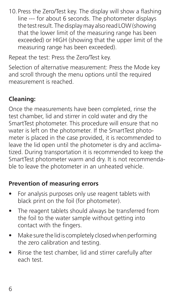10.Press the Zero/Test key. The display will show a flashing line --- for about 6 seconds. The photometer displays the test result. The display may also read LOW (showing that the lower limit of the measuring range has been exceeded) or HIGH (showing that the upper limit of the measuring range has been exceeded).

Repeat the test: Press the Zero/Test key.

Selection of alternative measurement: Press the Mode key and scroll through the menu options until the required measurement is reached.

#### **Cleaning:**

Once the measurements have been completed, rinse the test chamber, lid and stirrer in cold water and dry the SmartTest photometer. This procedure will ensure that no water is left on the photometer. If the SmartTest photometer is placed in the case provided, it is recommended to leave the lid open until the photometer is dry and acclimatized. During transportation it is recommended to keep the SmartTest photometer warm and dry. It is not recommendable to leave the photometer in an unheated vehicle.

#### **Prevention of measuring errors**

- For analysis purposes only use reagent tablets with black print on the foil (for photometer).
- The reagent tablets should always be transferred from the foil to the water sample without getting into contact with the fingers.
- Make sure the lid is completely closed when performing the zero calibration and testing.
- Rinse the test chamber, lid and stirrer carefully after each test.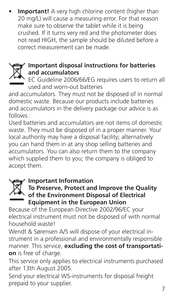• **Important!** A very high chlorine content (higher than 20 mg/L) will cause a measuring error. For that reason make sure to observe the tablet while it is being crushed. If it turns very red and the photometer does not read HIGH, the sample should be diluted before a correct measurement can be made.

#### **Important disposal instructions for batteries and accumulators**

EC Guideline 2006/66/EG requires users to return all used and worn-out batteries

and accumulators. They must not be disposed of in normal domestic waste. Because our products include batteries and accumulators in the delivery package our advice is as follows :

Used batteries and accumulators are not items of domestic waste. They must be disposed of in a proper manner. Your local authority may have a disposal facility; alternatively you can hand them in at any shop selling batteries and accumulators. You can also return them to the company which supplied them to you; the company is obliged to accept them.

#### **Important Information**

# **To Preserve, Protect and Improve the Quality of the Environment Disposal of Electrical Equipment in the European Union**

Because of the European Directive 2002/96/EC your electrical instrument must not be disposed of with normal household waste!

Wendt & Sørensen A/S will dispose of your electrical instrument in a professional and environmentally responsible manner. This service, **excluding the cost of transportation** is free of charge.

This service only applies to electrical instruments purchased after 13th August 2005.

Send your electrical WS-instruments for disposal freight prepaid to your supplier.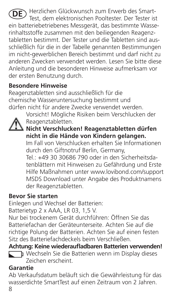**DE** Herzlichen Glückwunsch zum Erwerb des Smart-Test, dem elektronischen Pooltester. Der Tester ist ein batteriebetriebenes Messgerät, das bestimmte Wasserinhaltsstoffe zusammen mit den beiliegenden Reagenztabletten bestimmt. Der Tester und die Tabletten sind ausschließlich für die in der Tabelle genannten Bestimmungen im nicht-gewerblichen Bereich bestimmt und darf nicht zu anderen Zwecken verwendet werden. Lesen Sie bitte diese Anleitung und die besonderen Hinweise aufmerksam vor der ersten Benutzung durch.

#### **Besondere Hinweise**

Reagenztabletten sind ausschließlich für die chemische Wasseruntersuchung bestimmt und dürfen nicht für andere Zwecke verwendet werden.



Vorsicht! Mögliche Risiken beim Verschlucken der Reagenztabletten.

## **Nicht Verschlucken! Reagenztabletten dürfen nicht in die Hände von Kindern gelangen.**

Im Fall von Verschlucken erhalten Sie Informationen durch den Giftnotruf Berlin, Germany,

Tel.: +49 30 30686 790 oder in den Sicherheitsdatenblättern mit Hinweisen zu Gefährdung und Erste Hilfe Maßnahmen unter www.lovibond.com/support MSDS Download unter Angabe des Produktnamens der Reagenztabletten.

#### **Bevor Sie starten**

Einlegen und Wechsel der Batterien:

Batterietyp 2 x AAA, LR 03, 1.5 V.

Nur bei trockenem Gerät durchführen: Öffnen Sie das Batteriefachan der Geräteunterseite. Achten Sie auf die richtige Polung der Batterien. Achten Sie auf einen festen Sitz des Batteriefachdeckels beim Verschließen.

**Achtung: Keine wiederaufladbaren Batterien verwenden!**

Wechseln Sie die Batterien wenn im Display dieses Zeichen erscheint.

### **Garantie**

8 Ab Verkaufsdatum beläuft sich die Gewährleistung für das wasserdichte SmartTest auf einen Zeitraum von 2 Jahren.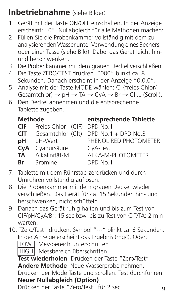# **Inbetriebnahme** (siehe Bilder)

- 1. Gerät mit der Taste ON/OFF einschalten. In der Anzeige erscheint: "0". Nullabgleich für alle Methoden machen:
- 2. Füllen Sie die Probenkammer vollständig mit dem zu analysierenden Wasser unter Verwendung eines Bechers oder einer Tasse (siehe Bild). Dabei das Gerät leicht hinund herschwenken.
- 3. Die Probenkammer mit dem grauen Deckel verschließen.
- 4. Die Taste ZERO/TEST drücken. "000" blinkt ca. 8 Sekunden. Danach erscheint in der Anzeige "0.0.0".
- 5. Analyse mit der Taste MODE wählen: Cl (freies Chlor/  $Gesamtchlor$   $\rightarrow$   $pH \rightarrow TA \rightarrow CyA \rightarrow Br \rightarrow Cl$  ... (Scroll).
- 6. Den Deckel abnehmen und die entsprechende Tablette zugeben.

| <b>Methode</b> |  |                                 | entsprechende Tablette |
|----------------|--|---------------------------------|------------------------|
|                |  | <b>CIF</b> : Freies Chlor (CIF) | DPD No.1               |
|                |  | $CIT$ : Gesamtchlor (Clt)       | DPD No.1 + DPD No.3    |
|                |  | $pH : pH-Wert$                  | PHENOL RED PHOTOMETER  |
|                |  | CyA: Cyanursäure                | CyA-Test               |
|                |  | TA : Alkalinität-M              | AI KA-M-PHOTOMFTFR     |
|                |  | $Br \tBrmine$                   | DPD No.1               |

- 7. Tablette mit dem Rührstab zerdrücken und durch Umrühren vollständig auflösen.
- 8. Die Probenkammer mit dem grauen Deckel wieder verschließen. Das Gerät für ca. 15 Sekunden hin- und herschwenken, nicht schütteln.
- 9. Danach das Gerät ruhig halten und bis zum Test von ClF/pH/CyA/Br: 15 sec bzw. bis zu Test von ClT/TA: 2 min warten.
- 10."Zero/Test" drücken. Symbol "---" blinkt ca. 6 Sekunden. In der Anzeige erscheint das Ergebnis (mg/l). Oder:

LOW | Messbereich unterschritten

HIGH Messbereich überschritten

**Test wiederholen** Drücken der Taste "Zero/Test" **Andere Methode** Neue Wasserprobe nehmen.

Drücken der Mode Taste und scrollen. Test durchführen. **Neuer Nullabgleich (Option)**

Drücken der Taste "Zero/Test" für 2 sec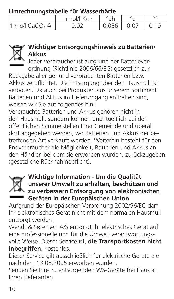**Umrechnungstabelle für Wasserhärte**

|                          | $mmol/ K$ sa 3 | °dh   | ٥A |
|--------------------------|----------------|-------|----|
| 1 mg/l CaCO, $\triangle$ | -07            | 0.056 |    |



#### **Wichtiger Entsorgungshinweis zu Batterien/ Akkus**

Jeder Verbraucher ist aufgrund der Batterieverordnung (Richtlinie 2006/66/EG) gesetzlich zur

Rückgabe aller ge- und verbrauchten Batterien bzw. Akkus verpflichtet. Die Entsorgung über den Hausmüll ist verboten. Da auch bei Produkten aus unserem Sortiment Batterien und Akkus im Lieferumgang enthalten sind, weisen wir Sie auf folgendes hin:

Verbrauchte Batterien und Akkus gehören nicht in den Hausmüll, sondern können unentgeltlich bei den öffentlichen Sammelstellen Ihrer Gemeinde und überall dort abgegeben werden, wo Batterien und Akkus der betreffenden Art verkauft werden. Weiterhin besteht für den Endverbraucher die Möglichkeit, Batterien und Akkus an den Händler, bei dem sie erworben wurden, zurückzugeben (gesetzliche Rücknahmepflicht).



# **Wichtige Information - Um die Qualität unserer Umwelt zu erhalten, beschützen und zu verbessern Entsorgung von elektronischen Geräten in der Europäischen Union**

Aufgrund der Europäischen Verordnung 2002/96/EC darf Ihr elektronisches Gerät nicht mit dem normalen Hausmüll entsorgt werden!

Wendt & Sørensen A/S entsorgt ihr elektrisches Gerät auf eine professionelle und für die Umwelt verantwortungs-

volle Weise. Dieser Service ist, **die Transportkosten nicht inbegriffen**, kostenlos.

Dieser Service gilt ausschließlich für elektrische Geräte die nach dem 13.08.2005 erworben wurden.

Senden Sie Ihre zu entsorgenden WS-Geräte frei Haus an Ihren Lieferanten.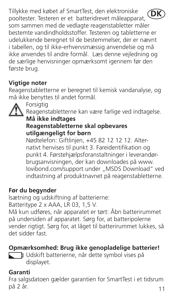Tillykke med købet af SmartTest, den elektroniske pooltester. Testeren er et batteridrevet måleapparat, som sammen med de vedlagte reagenstabletter måler bestemte vandindholdsstoffer. Testeren og tabletterne er udelukkende beregnet til de bestemmelser, der er nævnt i tabellen, og til ikke-erhvervsmæssig anvendelse og må ikke anvendes til andre formål. Læs denne vejledning og de særlige henvisninger opmærksomt igennem før den første brug. **DK**

#### **Vigtige noter**

Reagenstabletterne er beregnet til kemisk vandanalyse, og må ikke benyttes til andet formål.



Forsigtig Reagenstabletterne kan være farlige ved indtagelse.

#### **Må ikke indtages Reagenstabletterne skal opbevares utilgængeligt for børn**

Nødtelefon: Giftlinjen, +45 82 12 12 12. Alternativt henvises til punkt 3. Fareidentifikation og punkt 4. Førstehjælpsforanstaltninger i leverandørbrugsanvisningen, der kan downloades på www. lovibond.com/support under "MSDS Download" ved indtastning af produktnavnet på reagenstabletterne.

#### **Før du begynder**

Isætning og udskiftning af batterierne:

Batteritype 2 x AAA, LR 03, 1,5 V.

Må kun udføres, når apparatet er tørt: Åbn batterirummet på undersiden af apparatet. Sørg for, at batteripolerne vender rigtigt. Sørg for, at låget til batterirummet lukkes, så det sidder fast.

#### **Opmærksomhed: Brug ikke genopladelige batterier!**

Udskift batterierne, når dette symbol vises på displayet.

#### **Garanti**

Fra salgsdatoen gælder garantien for SmartTest i et tidsrum på 2 år.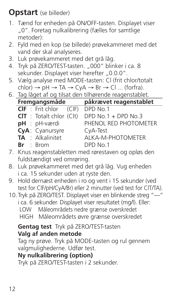## **Opstart** (se billeder)

- 1. Tænd for enheden på ON/OFF-tasten. Displayet viser "0". Foretag nulkalibrering (fælles for samtlige metoder):
- 2. Fyld med en kop (se billede) prøvekammeret med det vand der skal analyseres.
- 3. Luk prøvekammeret med det grå låg.
- 4. Tryk på ZERO/TEST-tasten. "000" blinker i ca. 8 sekunder. Displayet viser herefter "0.0.0".
- 5. Vælg analyse med MODE-tasten: Cl (frit chlor/totalt  $chlor$   $\rightarrow$   $hH$   $\rightarrow$  TA  $\rightarrow$  CyA  $\rightarrow$  Br  $\rightarrow$  Cl ... (forfra).
- 6. Tag låget af og tilsat den tilhørende reagenstablet.

| Fremgangsmåde              | påkrævet reagenstablet |  |  |
|----------------------------|------------------------|--|--|
| $CIF$ : Frit chlor $(CIF)$ | DPD No.1               |  |  |
| $CIT$ : Totalt chlor (Clt) | DPD No.1 + DPD No.3    |  |  |
| pH : pH-værdi              | PHENOL RED PHOTOMETER  |  |  |
| CyA: Cyanursyre            | CyA-Test               |  |  |
| TA : Alkalinitet           | AI KA-M-PHOTOMFTFR     |  |  |
| $Br \tBrm$                 | DPD No.1               |  |  |

7. Knus reagenstabletten med rørestaven og opløs den fuldstændigt ved omrøring.

- 8. Luk prøvekammeret med det grå låg. Vug enheden i ca. 15 sekunder uden at ryste den.
- 9. Hold dernæst enheden i ro og vent i 15 sekunder (ved test for ClF/pH/CyA/Br) eller 2 minutter (ved test for ClT/TA).
- 10.Tryk på ZERO/TEST. Displayet viser en blinkende streg "---"

i ca. 6 sekunder. Displayet viser resultatet (mg/l). Eller: LOW Måleområdets nedre grænse overskredet HIGH Måleområdets øvre grænse overskredet

#### **Gentag test** Tryk på ZERO/TEST-tasten

#### **Valg af anden metode**

Tag ny prøve. Tryk på MODE-tasten og rul gennem valgmulighederne. Udfør test.

### **Ny nulkalibrering (option)**

Tryk på ZERO/TEST-tasten i 2 sekunder.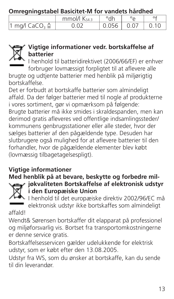**Omregningstabel Basicitet-M for vandets hårdhed**

|                                             | $mmol/ K$ sa 3 | °dh   |  |
|---------------------------------------------|----------------|-------|--|
| $\cdot$ <sup>1</sup> mg/l CaCO. $\triangle$ |                | 0.056 |  |



#### **Vigtige informationer vedr. bortskaffelse af batterier**

I henhold til batteridirektivet (2006/66/EF) er enhver forbruger lovmæssigt forpligtet til at aflevere alle

brugte og udtjente batterier med henblik på miljørigtig bortskaffelse.

Det er forbudt at bortskaffe batterier som almindeligt affald. Da der følger batterier med til nogle af produkterne i vores sortiment, gør vi opmærksom på følgende: Brugte batterier må ikke smides i skraldespanden, men kan derimod gratis afleveres ved offentlige indsamlingssteder/ kommunens genbrugsstationer eller alle steder, hvor der sælges batterier af den pågældende type. Desuden har slutbrugere også mulighed for at aflevere batterier til den forhandler, hvor de pågældende elementer blev købt (lovmæssig tilbagetagelsespligt).

#### **Vigtige informationer**

# **Med henblik på at bevare, beskytte og forbedre mil-**



**jøkvaliteten Bortskaffelse af elektronisk udstyr i den Europæiske Union**

I henhold til det europæiske direktiv 2002/96/EC må elektronisk udstyr ikke bortskaffes som almindeligt affald!

Wendt& Sørensen bortskaffer dit elapparat på professionel og miljøforsvarlig vis. Bortset fra transportomkostningerne er denne service gratis.

Bortskaffelsesservicen gælder udelukkende for elektrisk udstyr, som er købt efter den 13.08.2005.

Udstyr fra WS, som du ønsker at bortskaffe, kan du sende til din leverandør.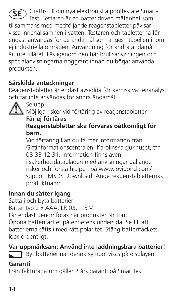Grattis till din nya elektroniska pooltestare Smart-**SE**Test. Testaren är en batteridriven mätenhet som tillsammans med medföljande reagenstabletter påvisar vissa innehållsämnen i vatten. Testaren och tabletterna får endast användas för de ändamål som anges i tabellen inom ej industriella områden. Användning för andra ändamål är inte tillåtet. Läs igenom den här bruksanvisningen och specialanvisningarna noggrant innan du börjar använda produkten.

#### **Särskilda anteckningar**

Reagenstabletter är endast avsedda för kemisk vattenanalys och får inte användas för andra ändamål.



Möjliga risker vid förtäring av reagenstabletter.

#### **Får ej förtäras**

#### **Reagenstabletter ska förvaras oåtkomligt för barn.**

Vid förtäring kan du få mer information från Giftinformationscentralen, Karolinska sjukhuset, tfn 08-33 12 31. Information finns även

i säkerhetsdatabladen med anvisningar gällande risker och första hjälpen på www.lovibond.com/ support MSDS Download. Ange reagenstabletternas produktnamn.

#### **Innan du sätter igång**

Sätta i och byta batterier:

Batterityp 2 x AAA, LR 03, 1,5 V.

Får endast genomföras när produkten är torr:

Öppna batterifacket på enhetens undersida. Se till att batterierna sätts i med rätt polaritet. Stäng batterifackets lock ordentligt.

#### **Var uppmärksam: Använd inte laddningsbara batterier!**

Byt batterier när denna symbol visas på displayen.

#### **Garanti**

Från fakturadatum gäller 2 års garanti på SmartTest.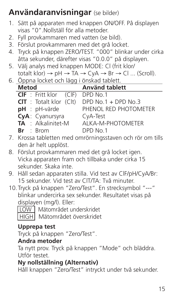# **Användaranvisningar** (se bilder)

- 1. Sätt på apparaten med knappen ON/OFF. På displayen visas "0".Nollställ för alla metoder.
- 2. Fyll provkammaren med vatten (se bild).
- 3. Förslut provkammaren med det grå locket.
- 4. Tryck på knappen ZERO/TEST. "000" blinkar under cirka åtta sekunder, därefter visas "0.0.0" på displayen.
- 5. Välj analys med knappen MODE: Cl (frit klor/ totalt klor)  $\rightarrow$  pH  $\rightarrow$  TA  $\rightarrow$  CvA  $\rightarrow$  Br  $\rightarrow$  Cl ... (Scroll).
- 6. Öppna locket och lägg i önskad tablett.

| Metod                           | <b>Använd tablett</b> |  |  |
|---------------------------------|-----------------------|--|--|
| CIF : Fritt klor (CIF) DPD No.1 |                       |  |  |
| $CIT$ : Totalt klor $(CIt)$     | DPD No.1 + DPD No.3   |  |  |
| $pH : pH-värde$                 | PHENOL RED PHOTOMETER |  |  |
| CyA: Cyanursyra                 | CyA-Test              |  |  |
| TA : Alkalinitet-M              | AI KA-M-PHOTOMFTFR    |  |  |
| $Br \cdot Rrom$                 | DPD No.1              |  |  |

- 7. Krossa tabletten med omrörningsstaven och rör om tills den är helt upplöst.
- 8. Förslut provkammaren med det grå locket igen. Vicka apparaten fram och tillbaka under cirka 15 sekunder. Skaka inte.
- 9. Håll sedan apparaten stilla. Vid test av ClF/pH/CyA/Br: 15 sekunder. Vid test av ClT/TA: Två minuter.
- 10.Tryck på knappen "Zero/Test". En strecksymbol "---" blinkar undercirka sex sekunder. Resultatet visas på displayen (mg/l). Eller:

 $\nabla$  Mätområdet underskridet HIGH Mätområdet överskridet

#### **Upprepa test**

Tryck på knappen "Zero/Test".

#### **Andra metoder**

Ta nytt prov. Tryck på knappen "Mode" och bläddra. Utför testet.

#### **Ny nollställning (Alternativ)**

Håll knappen "Zero/Test" intryckt under två sekunder.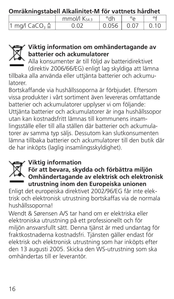**Omräkningstabell Alkalinitet-M för vattnets hårdhet**

|                              | $mmol/ K$ sa 3 | °dh   | $\circ$ |  |
|------------------------------|----------------|-------|---------|--|
| $\eta$ mg/l CaCO, $\Delta$ , |                | 0.056 |         |  |



#### **Viktig information om omhändertagande av batterier och ackumulatorer**

Alla konsumenter är till följd av batteridirektivet (direktiv 2006/66/EG) enligt lag skyldiga att lämna

tillbaka alla använda eller uttjänta batterier och ackumulatorer.

Bortskaffande via hushållssoporna är förbjudet. Eftersom vissa produkter i vårt sortiment även levereras omfattande batterier och ackumulatorer upplyser vi om följande: Uttjänta batterier och ackumulatorer är inga hushållssopor utan kan kostnadsfritt lämnas till kommunens insamlingsställe eller till alla ställen där batterier och ackumulatorer av samma typ säljs. Dessutom kan slutkonsumenten lämna tillbaka batterier och ackumulatorer till den butik där de har inköpts (laglig insamlingsskyldighet).

#### **Viktig information**



#### **För att bevara, skydda och förbättra miljön Omhändertagande av elektrisk och elektronisk utrustning inom den Europeiska unionen**

Enligt det europeiska direktivet 2002/96/EG får inte elektrisk och elektronisk utrustning bortskaffas via de normala hushållssoporna!

Wendt & Sørensen A/S tar hand om er elektriska eller elektroniska utrustning på ett professionellt och för miljön ansvarsfullt sätt. Denna tjänst är med undantag för fraktkostnaderna kostnadsfri. Tjänsten gäller endast för elektrisk och elektronisk utrustning som har inköpts efter den 13 augusti 2005. Skicka den WS-utrustning som ska omhändertas till er leverantör.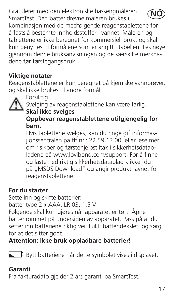Gratulerer med den elektroniske bassengmåleren SmartTest. Den batteridrevne måleren brukes i kombinasjon med de medfølgende reagenstablettene for å fastslå bestemte innholdsstoffer i vannet. Måleren og tablettene er ikke beregnet for kommersiell bruk, og skal kun benyttes til formålene som er angitt i tabellen. Les nøye gjennom denne bruksanvisningen og de særskilte merknadene før førstegangsbruk. **NO**

#### **Viktige notater**

Reagenstablettene er kun beregnet på kjemiske vannprøver, og skal ikke brukes til andre formål.



Forsiktig

Svelging av reagenstablettene kan være farlig.

### **Skal ikke svelges**

#### **Oppbevar reagenstablettene utilgjengelig for barn.**

Hvis tablettene svelges, kan du ringe giftinformasjionssentralen på tlf.nr.: 22 59 13 00, eller lese mer om risikoer og førstehjelpstiltak i sikkerhetsdatabladene på www.lovibond.com/support. For å finne og laste ned riktig sikkerhetsdatablad klikker du på "MSDS Download" og angir produktnavnet for reagenstablettene.

#### **Før du starter**

Sette inn og skifte batterier:

batteritype 2 x AAA, LR 03, 1,5 V.

Følgende skal kun gjøres når apparatet er tørt: Åpne batterirommet på undersiden av apparatet. Pass på at du setter inn batteriene riktig vei. Lukk batteridekslet, og sørg for at det sitter godt.

**Attention: Ikke bruk oppladbare batterier!**

Bytt batteriene når dette symbolet vises i displayet.

#### **Garanti**

Fra fakturadato gjelder 2 års garanti på SmartTest.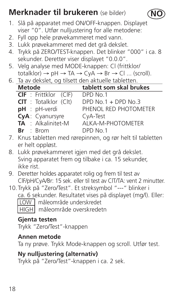# **Merknader til brukeren** (se bilder)

- 1. Slå på apparatet med ON/OFF-knappen. Displayet viser "0". Utfør nulljustering for alle metodene:
- 2. Fyll opp hele prøvekammeret med vann.
- 3. Lukk prøvekammeret med det grå dekslet.
- 4. Trykk på ZERO/TEST-knappen. Det blinker "000" i ca. 8 sekunder. Deretter viser displayet "0.0.0".

**NO**

- 5. Velg analyse med MODE-knappen: Cl (frittklor/  $totalklor$   $\rightarrow$   $pH \rightarrow TA \rightarrow CvA \rightarrow Br \rightarrow Cl$  ... (scroll).
- 6. Ta av dekslet, og tilsett den aktuelle tabletten.

| <b>Metode</b>                | tablett som skal brukes |  |  |  |
|------------------------------|-------------------------|--|--|--|
| <b>CIF</b> : Frittklor (CIF) | DPD No.1                |  |  |  |
| $CIT$ : Totalklor $(CIt)$    | DPD $No.1 + DPD No.3$   |  |  |  |
| pH : pH-verdi                | PHENOL RED PHOTOMETER   |  |  |  |
| CyA: Cyanursyre              | CyA-Test                |  |  |  |
| TA : Alkalinitet-M           | AI KA-M-PHOTOMFTFR      |  |  |  |
| $Br \tBrm$                   | DPD No.1                |  |  |  |

- 7. Knus tabletten med rørepinnen, og rør helt til tabletten er helt oppløst.
- 8. Lukk prøvekammeret igjen med det grå dekslet. Sving apparatet frem og tilbake i ca. 15 sekunder, ikke rist.
- 9. Deretter holdes apparatet rolig og frem til test av ClF/pH/CyA/Br: 15 sek. eller til test av ClT/TA: vent 2 minutter.
- 10.Trykk på "Zero/Test". Et streksymbol "---" blinker i ca. 6 sekunder. Resultatet vises på displayet (mg/l). Eller: LOW måleområde underskredet
	- HIGH måleområde overskredetn

#### **Gjenta testen**

Trykk "Zero/Test"-knappen

#### **Annen metode**

Ta ny prøve. Trykk Mode-knappen og scroll. Utfør test.

#### **Ny nulljustering (alternativ)**

Trykk på "Zero/Test"-knappen i ca. 2 sek.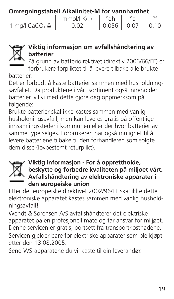**Omregningstabell Alkalinitet-M for vannhardhet**

|                          | mmol/l Ks43 | °dh   |      |  |
|--------------------------|-------------|-------|------|--|
| 1 mg/l CaCO, $\triangle$ | ገ በ2        | 0.056 | 0.07 |  |



#### **Viktig informasjon om avfallshåndtering av batterier**

På grunn av batteridirektivet (direktiv 2006/66/EF) er forbrukere forpliktet til å levere tilbake alle brukte

batterier.

Det er forbudt å kaste batterier sammen med husholdningsavfallet. Da produktene i vårt sortiment også inneholder batterier, vil vi med dette gjøre deg oppmerksom på følgende:

Brukte batterier skal ikke kastes sammen med vanlig husholdningsavfall, men kan leveres gratis på offentlige innsamlingssteder i kommunen eller der hvor batterier av samme type selges. Forbrukeren har også mulighet til å levere batteriene tilbake til den forhandleren som solgte dem disse (lovbestemt returplikt).



#### **Viktig informasjon - For å opprettholde, beskytte og forbedre kvaliteten på miljøet vårt. Avfallshåndtering av elektroniske apparater i den europeiske union**

Etter det europeiske direktivet 2002/96/EF skal ikke dette elektroniske apparatet kastes sammen med vanlig husholdningsavfall!

Wendt & Sørensen A/S avfallshåndterer det elektriske apparatet på en profesjonell måte og tar ansvar for miljøet. Denne servicen er gratis, bortsett fra transportkostnadene. Servicen gjelder bare for elektriske apparater som ble kjøpt etter den 13.08.2005.

Send WS-apparatene du vil kaste til din leverandør.